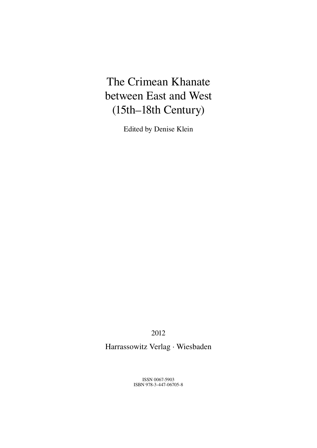# The Crimean Khanate between East and West (15th–18th Century)

Edited by Denise Klein

2012

Harrassowitz Verlag · Wiesbaden

ISSN 0067-5903 ISBN 978-3-447-06705-8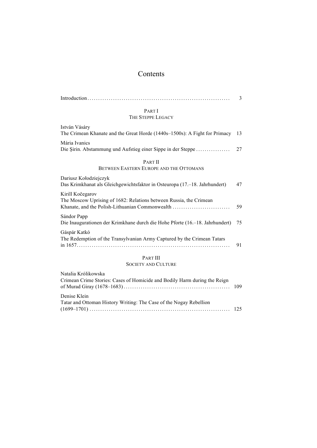## Contents

|                                                                                                                                           | 3  |
|-------------------------------------------------------------------------------------------------------------------------------------------|----|
| PART I                                                                                                                                    |    |
| THE STEPPE LEGACY                                                                                                                         |    |
| István Vásáry<br>The Crimean Khanate and the Great Horde (1440s-1500s): A Fight for Primacy                                               | 13 |
| Mária Ivanics<br>Die Şirin. Abstammung und Aufstieg einer Sippe in der Steppe                                                             | 27 |
| <b>PART II</b><br>BETWEEN EASTERN EUROPE AND THE OTTOMANS                                                                                 |    |
| Dariusz Kołodziejczyk<br>Das Krimkhanat als Gleichgewichtsfaktor in Osteuropa (17.–18. Jahrhundert)                                       | 47 |
| Kirill Kočegarov<br>The Moscow Uprising of 1682: Relations between Russia, the Crimean<br>Khanate, and the Polish-Lithuanian Commonwealth | 59 |
| Sándor Papp<br>Die Inaugurationen der Krimkhane durch die Hohe Pforte (16.–18. Jahrhundert)                                               | 75 |
| Gáspár Katkó<br>The Redemption of the Transylvanian Army Captured by the Crimean Tatars                                                   | 91 |
| <b>PART III</b>                                                                                                                           |    |
| $0.0$ $0.0$                                                                                                                               |    |

# SOCIETY AND CULTURE

| Natalia Królikowska<br>Crimean Crime Stories: Cases of Homicide and Bodily Harm during the Reign |  |
|--------------------------------------------------------------------------------------------------|--|
| Denise Klein<br>Tatar and Ottoman History Writing: The Case of the Nogay Rebellion               |  |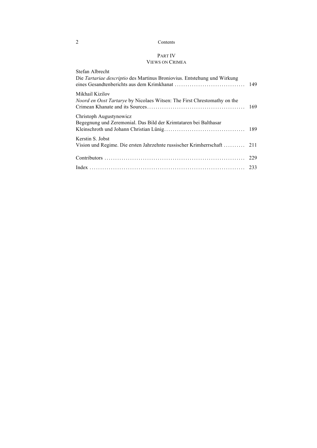## 2 Contents

## PART IV VIEWS ON CRIMEA

| Stefan Albrecht<br>Die Tartariae descriptio des Martinus Broniovius. Entstehung und Wirkung        |     |
|----------------------------------------------------------------------------------------------------|-----|
| Mikhail Kizilov<br><i>Noord en Oost Tartarye</i> by Nicolaes Witsen: The First Chrestomathy on the |     |
| Christoph Augustynowicz<br>Begegnung und Zeremonial. Das Bild der Krimtataren bei Balthasar        |     |
| Kerstin S. Jobst<br>Vision und Regime. Die ersten Jahrzehnte russischer Krimherrschaft             | 211 |
|                                                                                                    | 229 |
|                                                                                                    |     |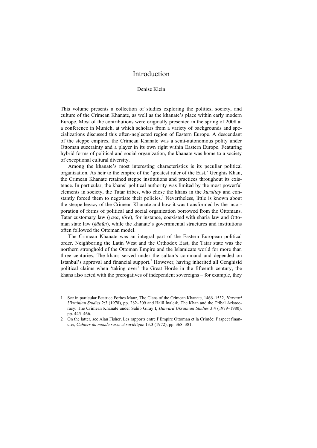## Introduction

## Denise Klein

This volume presents a collection of studies exploring the politics, society, and culture of the Crimean Khanate, as well as the khanate's place within early modern Europe. Most of the contributions were originally presented in the spring of 2008 at a conference in Munich, at which scholars from a variety of backgrounds and specializations discussed this often-neglected region of Eastern Europe. A descendant of the steppe empires, the Crimean Khanate was a semi-autonomous polity under Ottoman suzerainty and a player in its own right within Eastern Europe. Featuring hybrid forms of political and social organization, the khanate was home to a society of exceptional cultural diversity.

Among the khanate's most interesting characteristics is its peculiar political organization. As heir to the empire of the 'greatest ruler of the East,' Genghis Khan, the Crimean Khanate retained steppe institutions and practices throughout its existence. In particular, the khans' political authority was limited by the most powerful elements in society, the Tatar tribes, who chose the khans in the *kurultay* and constantly forced them to negotiate their policies.<sup>1</sup> Nevertheless, little is known about the steppe legacy of the Crimean Khanate and how it was transformed by the incorporation of forms of political and social organization borrowed from the Ottomans. Tatar customary law (*yasa*, *töre*), for instance, coexisted with sharia law and Ottoman state law (*ḳānūn*), while the khanate's governmental structures and institutions often followed the Ottoman model.

The Crimean Khanate was an integral part of the Eastern European political order. Neighboring the Latin West and the Orthodox East, the Tatar state was the northern stronghold of the Ottoman Empire and the Islamicate world for more than three centuries. The khans served under the sultan's command and depended on Istanbul's approval and financial support.<sup>2</sup> However, having inherited all Genghisid political claims when 'taking over' the Great Horde in the fifteenth century, the khans also acted with the prerogatives of independent sovereigns – for example, they

<sup>1</sup> See in particular Beatrice Forbes Manz, The Clans of the Crimean Khanate, 1466–1532, *Harvard Ukrainian Studies* 2:3 (1978), pp. 282–309 and Halil İnalcık, The Khan and the Tribal Aristocracy: The Crimean Khanate under Sahib Giray I, *Harvard Ukrainian Studies* 3:4 (1979–1980), pp. 445–466.

<sup>2</sup> On the latter, see Alan Fisher, Les rapports entre l'Empire Ottoman et la Crimée: l'aspect financier, *Cahiers du monde russe et soviétique* 13:3 (1972), pp. 368–381.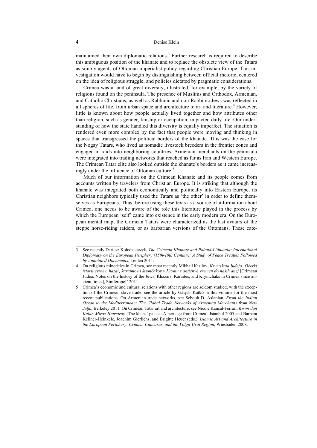### 4 Denise Klein

maintained their own diplomatic relations.3 Further research is required to describe this ambiguous position of the khanate and to replace the obsolete view of the Tatars as simply agents of Ottoman imperialist policy regarding Christian Europe. This investigation would have to begin by distinguishing between official rhetoric, centered on the idea of religious struggle, and policies dictated by pragmatic considerations.

Crimea was a land of great diversity, illustrated, for example, by the variety of religions found on the peninsula. The presence of Muslims and Orthodox, Armenian, and Catholic Christians, as well as Rabbinic and non-Rabbinic Jews was reflected in all spheres of life, from urban space and architecture to art and literature.<sup>4</sup> However, little is known about how people actually lived together and how attributes other than religion, such as gender, kinship or occupation, impacted daily life. Our understanding of how the state handled this diversity is equally imperfect. The situation is rendered even more complex by the fact that people were moving and thinking in spaces that transgressed the political borders of the khanate. This was the case for the Nogay Tatars, who lived as nomadic livestock breeders in the frontier zones and engaged in raids into neighboring countries. Armenian merchants on the peninsula were integrated into trading networks that reached as far as Iran and Western Europe. The Crimean Tatar elite also looked outside the khanate's borders as it came increasingly under the influence of Ottoman culture.<sup>5</sup>

Much of our information on the Crimean Khanate and its people comes from accounts written by travelers from Christian Europe. It is striking that although the khanate was integrated both economically and politically into Eastern Europe, its Christian neighbors typically used the Tatars as 'the other' in order to define themselves as Europeans. Thus, before using these texts as a source of information about Crimea, one needs to be aware of the role this literature played in the process by which the European 'self' came into existence in the early modern era. On the European mental map, the Crimean Tatars were characterized as the last avatars of the steppe horse-riding raiders, or as barbarian versions of the Ottomans. These cate-

<sup>3</sup> See recently Dariusz Kołodziejczyk, *The Crimean Khanate and Poland-Lithuania: International Diplomacy on the European Periphery (15th-18th Century); A Study of Peace Treaties Followed by Annotated Documents*, Leiden 2011.

<sup>4</sup> On religious minorities in Crimea, see most recently Mikhail Kizilov, *Krymskaja Iudeja: Očerki istorii evreev, hazar, karaimov i krymčakov v Krymu s antičnyh vremen do naših dnej* [Crimean Judea: Notes on the history of the Jews, Khazars, Karaites, and Krymchaks in Crimea since ancient times], Simferopol' 2011.

<sup>5</sup> Crimea's economic and cultural relations with other regions are seldom studied, with the exception of the Crimean slave trade; see the article by Gáspár Katkó in this volume for the most recent publications. On Armenian trade networks, see Sebouh D. Aslanian, *From the Indian Ocean to the Mediterranean: The Global Trade Networks of Armenian Merchants from New Julfa*, Berkeley 2011. On Crimean Tatar art and architecture, see Nicole Kançal-Ferrari, *Kırım'dan Kalan Miras Hansaray* [The khans' palace: A heritage from Crimea], Istanbul 2005 and Barbara Kellner-Heinkele, Joachim Gierlichs, and Brigitte Heuer (eds.), *Islamic Art and Architecture in the European Periphery: Crimea, Caucasus, and the Volga-Ural Region*, Wiesbaden 2008.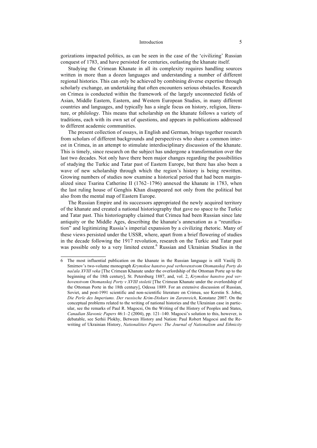#### Introduction 5

gorizations impacted politics, as can be seen in the case of the 'civilizing' Russian conquest of 1783, and have persisted for centuries, outlasting the khanate itself.

Studying the Crimean Khanate in all its complexity requires handling sources written in more than a dozen languages and understanding a number of different regional histories. This can only be achieved by combining diverse expertise through scholarly exchange, an undertaking that often encounters serious obstacles. Research on Crimea is conducted within the framework of the largely unconnected fields of Asian, Middle Eastern, Eastern, and Western European Studies, in many different countries and languages, and typically has a single focus on history, religion, literature, or philology. This means that scholarship on the khanate follows a variety of traditions, each with its own set of questions, and appears in publications addressed to different academic communities.

The present collection of essays, in English and German, brings together research from scholars of different backgrounds and perspectives who share a common interest in Crimea, in an attempt to stimulate interdisciplinary discussion of the khanate. This is timely, since research on the subject has undergone a transformation over the last two decades. Not only have there been major changes regarding the possibilities of studying the Turkic and Tatar past of Eastern Europe, but there has also been a wave of new scholarship through which the region's history is being rewritten. Growing numbers of studies now examine a historical period that had been marginalized since Tsarina Catherine II (1762–1796) annexed the khanate in 1783, when the last ruling house of Genghis Khan disappeared not only from the political but also from the mental map of Eastern Europe.

The Russian Empire and its successors appropriated the newly acquired territory of the khanate and created a national historiography that gave no space to the Turkic and Tatar past. This historiography claimed that Crimea had been Russian since late antiquity or the Middle Ages, describing the khanate's annexation as a "reunification" and legitimizing Russia's imperial expansion by a civilizing rhetoric. Many of these views persisted under the USSR, where, apart from a brief flowering of studies in the decade following the 1917 revolution, research on the Turkic and Tatar past was possible only to a very limited extent.<sup>6</sup> Russian and Ukrainian Studies in the

<sup>6</sup> The most influential publication on the khanate in the Russian language is still Vasilij D. Smirnov's two-volume monograph *Krymskoe hanstvo pod verhovenstvom Otomanskoj Porty do načala XVIII veka* [The Crimean Khanate under the overlordship of the Ottoman Porte up to the beginning of the 18th century], St. Petersburg 1887, and, vol. 2, *Krymskoe hanstvo pod verhovenstvom Otomanskoj Porty v XVIII stoletii* [The Crimean Khanate under the overlordship of the Ottoman Porte in the 18th century], Odessa 1889. For an extensive discussion of Russian, Soviet, and post-1991 scientific and non-scientific literature on Crimea, see Kerstin S. Jobst, *Die Perle des Imperiums. Der russische Krim-Diskurs im Zarenreich*, Konstanz 2007. On the conceptual problems related to the writing of national histories and the Ukrainian case in particular, see the remarks of Paul R. Magocsi, On the Writing of the History of Peoples and States, *Canadian Slavonic Papers* 46:1–2 (2004), pp. 121–140. Magocsi's solution to this, however, is debatable, see Serhii Plokhy, Between History and Nation: Paul Robert Magocsi and the Rewriting of Ukrainian History, *Nationalities Papers: The Journal of Nationalism and Ethnicity*